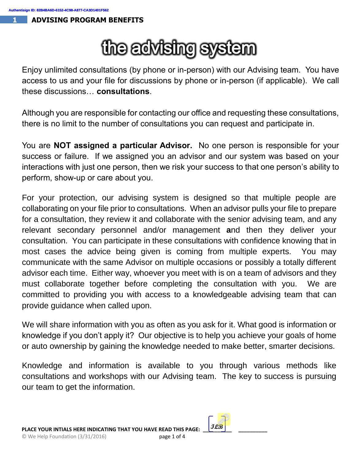## the advising system

Enjoy unlimited consultations (by phone or in-person) with our Advising team. You have access to us and your file for discussions by phone or in-person (if applicable). We call these discussions… **consultations**.

Although you are responsible for contacting our office and requesting these consultations, there is no limit to the number of consultations you can request and participate in.

You are **NOT assigned a particular Advisor.** No one person is responsible for your success or failure. If we assigned you an advisor and our system was based on your interactions with just one person, then we risk your success to that one person's ability to perform, show-up or care about you.

For your protection, our advising system is designed so that multiple people are collaborating on your file prior to consultations. When an advisor pulls your file to prepare for a consultation, they review it and collaborate with the senior advising team, and any relevant secondary personnel and/or management **a**nd then they deliver your consultation. You can participate in these consultations with confidence knowing that in most cases the advice being given is coming from multiple experts. You may communicate with the same Advisor on multiple occasions or possibly a totally different advisor each time. Either way, whoever you meet with is on a team of advisors and they must collaborate together before completing the consultation with you. We are committed to providing you with access to a knowledgeable advising team that can provide guidance when called upon.

We will share information with you as often as you ask for it. What good is information or knowledge if you don't apply it? Our objective is to help you achieve your goals of home or auto ownership by gaining the knowledge needed to make better, smarter decisions.

Knowledge and information is available to you through various methods like consultations and workshops with our Advising team. The key to success is pursuing our team to get the information.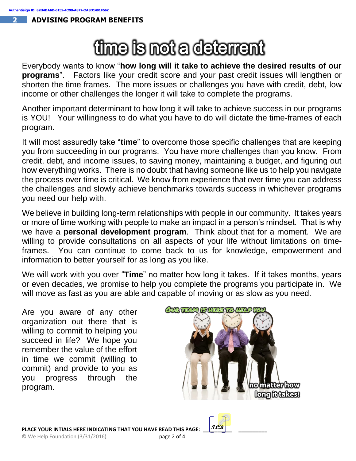## time is not a deterrent

Everybody wants to know "**how long will it take to achieve the desired results of our programs**". Factors like your credit score and your past credit issues will lengthen or shorten the time frames. The more issues or challenges you have with credit, debt, low income or other challenges the longer it will take to complete the programs.

Another important determinant to how long it will take to achieve success in our programs is YOU! Your willingness to do what you have to do will dictate the time-frames of each program.

It will most assuredly take "**time**" to overcome those specific challenges that are keeping you from succeeding in our programs. You have more challenges than you know. From credit, debt, and income issues, to saving money, maintaining a budget, and figuring out how everything works. There is no doubt that having someone like us to help you navigate the process over time is critical. We know from experience that over time you can address the challenges and slowly achieve benchmarks towards success in whichever programs you need our help with.

We believe in building long-term relationships with people in our community. It takes years or more of time working with people to make an impact in a person's mindset. That is why we have a **personal development program**. Think about that for a moment. We are willing to provide consultations on all aspects of your life without limitations on timeframes. You can continue to come back to us for knowledge, empowerment and information to better yourself for as long as you like.

We will work with you over "**Time**" no matter how long it takes. If it takes months, years or even decades, we promise to help you complete the programs you participate in. We will move as fast as you are able and capable of moving or as slow as you need.

Are you aware of any other organization out there that is willing to commit to helping you succeed in life? We hope you remember the value of the effort in time we commit (willing to commit) and provide to you as you progress through the program.

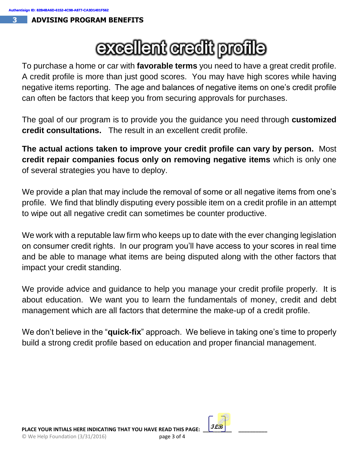## excellent credit profile

To purchase a home or car with **favorable terms** you need to have a great credit profile. A credit profile is more than just good scores. You may have high scores while having negative items reporting. The age and balances of negative items on one's credit profile can often be factors that keep you from securing approvals for purchases.

The goal of our program is to provide you the guidance you need through **customized credit consultations.** The result in an excellent credit profile.

**The actual actions taken to improve your credit profile can vary by person.** Most **credit repair companies focus only on removing negative items** which is only one of several strategies you have to deploy.

We provide a plan that may include the removal of some or all negative items from one's profile. We find that blindly disputing every possible item on a credit profile in an attempt to wipe out all negative credit can sometimes be counter productive.

We work with a reputable law firm who keeps up to date with the ever changing legislation on consumer credit rights. In our program you'll have access to your scores in real time and be able to manage what items are being disputed along with the other factors that impact your credit standing.

We provide advice and guidance to help you manage your credit profile properly. It is about education. We want you to learn the fundamentals of money, credit and debt management which are all factors that determine the make-up of a credit profile.

We don't believe in the "**quick-fix**" approach. We believe in taking one's time to properly build a strong credit profile based on education and proper financial management.